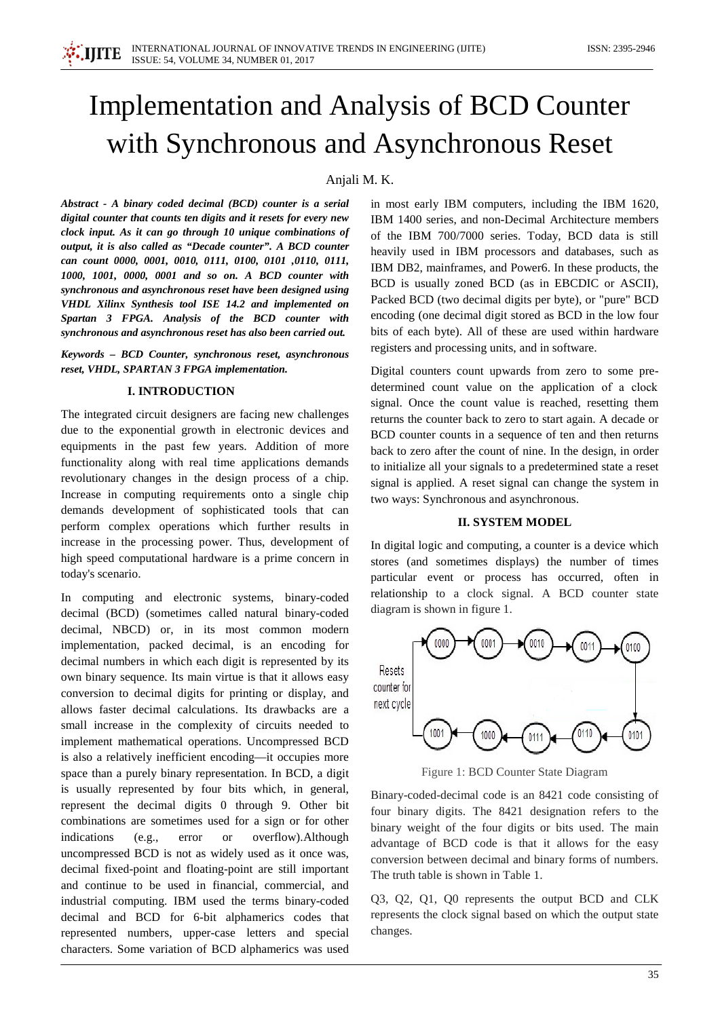

# Implementation and Analysis of BCD Counter with Synchronous and Asynchronous Reset

# Anjali M. K.

*Abstract - A binary coded decimal (BCD) counter is a serial digital counter that counts ten digits and it resets for every new clock input. As it can go through 10 unique combinations of output, it is also called as "Decade counter". A BCD counter can count 0000, 0001, 0010, 0111, 0100, 0101 ,0110, 0111, 1000, 1001, 0000, 0001 and so on. A BCD counter with synchronous and asynchronous reset have been designed using VHDL Xilinx Synthesis tool ISE 14.2 and implemented on Spartan 3 FPGA. Analysis of the BCD counter with synchronous and asynchronous reset has also been carried out.*

*Keywords – BCD Counter, synchronous reset, asynchronous reset, VHDL, SPARTAN 3 FPGA implementation.*

# **I. INTRODUCTION**

The integrated circuit designers are facing new challenges due to the exponential growth in electronic devices and equipments in the past few years. Addition of more functionality along with real time applications demands revolutionary changes in the design process of a chip. Increase in computing requirements onto a single chip demands development of sophisticated tools that can perform complex operations which further results in increase in the processing power. Thus, development of high speed computational hardware is a prime concern in today's scenario.

In computing and electronic systems, binary-coded decimal (BCD) (sometimes called natural binary-coded decimal, NBCD) or, in its most common modern implementation, packed decimal, is an encoding for decimal numbers in which each digit is represented by its own binary sequence. Its main virtue is that it allows easy conversion to decimal digits for printing or display, and allows faster decimal calculations. Its drawbacks are a small increase in the complexity of circuits needed to implement mathematical operations. Uncompressed BCD is also a relatively inefficient encoding—it occupies more space than a purely binary representation. In BCD, a digit is usually represented by four bits which, in general, represent the decimal digits 0 through 9. Other bit combinations are sometimes used for a sign or for other indications (e.g., error or overflow).Although uncompressed BCD is not as widely used as it once was, decimal fixed-point and floating-point are still important and continue to be used in financial, commercial, and industrial computing. IBM used the terms binary-coded decimal and BCD for 6-bit alphamerics codes that represented numbers, upper-case letters and special characters. Some variation of BCD alphamerics was used

in most early IBM computers, including the IBM 1620, IBM 1400 series, and non-Decimal Architecture members of the IBM 700/7000 series. Today, BCD data is still heavily used in IBM processors and databases, such as IBM DB2, mainframes, and Power6. In these products, the BCD is usually zoned BCD (as in EBCDIC or ASCII), Packed BCD (two decimal digits per byte), or "pure" BCD encoding (one decimal digit stored as BCD in the low four bits of each byte). All of these are used within hardware registers and processing units, and in software.

Digital counters count upwards from zero to some predetermined count value on the application of a clock signal. Once the count value is reached, resetting them returns the counter back to zero to start again. A decade or BCD counter counts in a sequence of ten and then returns back to zero after the count of nine. In the design, in order to initialize all your signals to a predetermined state a reset signal is applied. A reset signal can change the system in two ways: Synchronous and asynchronous.

#### **II. SYSTEM MODEL**

In digital logic and computing, a counter is a device which stores (and sometimes displays) the number of times particular event or process has occurred, often in relationship to a clock signal. A BCD counter state diagram is shown in figure 1.



Figure 1: BCD Counter State Diagram

Binary-coded-decimal code is an 8421 code consisting of four binary digits. The 8421 designation refers to the binary weight of the four digits or bits used. The main advantage of BCD code is that it allows for the easy conversion between decimal and binary forms of numbers. The truth table is shown in Table 1.

Q3, Q2, Q1, Q0 represents the output BCD and CLK represents the clock signal based on which the output state changes.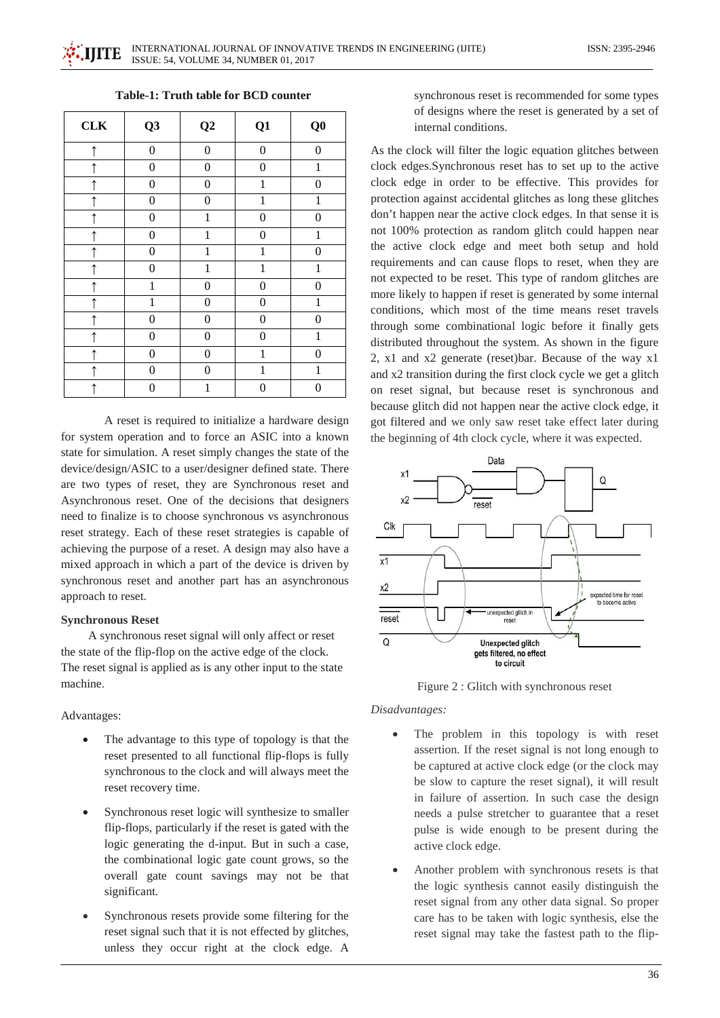| <b>CLK</b> | Q <sub>3</sub>   | $\bf Q2$         | Q1               | Q <sub>0</sub>   |
|------------|------------------|------------------|------------------|------------------|
| $\uparrow$ | $\boldsymbol{0}$ | $\boldsymbol{0}$ | $\boldsymbol{0}$ | $\overline{0}$   |
| $\uparrow$ | $\boldsymbol{0}$ | $\boldsymbol{0}$ | $\boldsymbol{0}$ | $\mathbf{1}$     |
| $\uparrow$ | $\boldsymbol{0}$ | $\boldsymbol{0}$ | $\mathbf{1}$     | $\overline{0}$   |
| $\uparrow$ | $\boldsymbol{0}$ | $\boldsymbol{0}$ | 1                | 1                |
| $\uparrow$ | $\boldsymbol{0}$ | $\mathbf{1}$     | $\boldsymbol{0}$ | $\boldsymbol{0}$ |
| $\uparrow$ | $\boldsymbol{0}$ | $\mathbf{1}$     | $\boldsymbol{0}$ | 1                |
| $\uparrow$ | $\boldsymbol{0}$ | $\mathbf{1}$     | $\mathbf{1}$     | $\boldsymbol{0}$ |
| $\uparrow$ | $\boldsymbol{0}$ | $\mathbf{1}$     | 1                | $\mathbf{1}$     |
| $\uparrow$ | $\mathbf{1}$     | $\boldsymbol{0}$ | $\boldsymbol{0}$ | $\boldsymbol{0}$ |
| $\uparrow$ | $\mathbf{1}$     | $\boldsymbol{0}$ | $\boldsymbol{0}$ | $\mathbf{1}$     |
| $\uparrow$ | 0                | $\boldsymbol{0}$ | $\boldsymbol{0}$ | $\boldsymbol{0}$ |
| $\uparrow$ | $\boldsymbol{0}$ | $\boldsymbol{0}$ | $\boldsymbol{0}$ | $\mathbf{1}$     |
| $\uparrow$ | $\boldsymbol{0}$ | $\boldsymbol{0}$ | $\mathbf{1}$     | $\boldsymbol{0}$ |
|            | $\boldsymbol{0}$ | $\boldsymbol{0}$ | $\mathbf{1}$     | $\mathbf{1}$     |
| $\uparrow$ | $\boldsymbol{0}$ | $\mathbf{1}$     | $\boldsymbol{0}$ | 0                |

A reset is required to initialize a hardware design for system operation and to force an ASIC into a known state for simulation. A reset simply changes the state of the device/design/ASIC to a user/designer defined state. There are two types of reset, they are Synchronous reset and Asynchronous reset. One of the decisions that designers need to finalize is to choose synchronous vs asynchronous reset strategy. Each of these reset strategies is capable of achieving the purpose of a reset. A design may also have a mixed approach in which a part of the device is driven by synchronous reset and another part has an asynchronous approach to reset.

#### **Synchronous Reset**

 A synchronous reset signal will only affect or reset the state of the flip-flop on the active edge of the clock. The reset signal is applied as is any other input to the state machine.

#### Advantages:

- The advantage to this type of topology is that the reset presented to all functional flip-flops is fully synchronous to the clock and will always meet the reset recovery time.
- Synchronous reset logic will synthesize to smaller flip-flops, particularly if the reset is gated with the logic generating the d-input. But in such a case, the combinational logic gate count grows, so the overall gate count savings may not be that significant.
- Synchronous resets provide some filtering for the reset signal such that it is not effected by glitches, unless they occur right at the clock edge. A

synchronous reset is recommended for some types of designs where the reset is generated by a set of internal conditions.

As the clock will filter the logic equation glitches between clock edges.Synchronous reset has to set up to the active clock edge in order to be effective. This provides for protection against accidental glitches as long these glitches don't happen near the active clock edges. In that sense it is not 100% protection as random glitch could happen near the active clock edge and meet both setup and hold requirements and can cause flops to reset, when they are not expected to be reset. This type of random glitches are more likely to happen if reset is generated by some internal conditions, which most of the time means reset travels through some combinational logic before it finally gets distributed throughout the system. As shown in the figure 2, x1 and x2 generate (reset)bar. Because of the way x1 and x2 transition during the first clock cycle we get a glitch on reset signal, but because reset is synchronous and because glitch did not happen near the active clock edge, it got filtered and we only saw reset take effect later during the beginning of 4th clock cycle, where it was expected.



Figure 2 : Glitch with synchronous reset

*Disadvantages:*

- The problem in this topology is with reset assertion. If the reset signal is not long enough to be captured at active clock edge (or the clock may be slow to capture the reset signal), it will result in failure of assertion. In such case the design needs a pulse stretcher to guarantee that a reset pulse is wide enough to be present during the active clock edge.
- Another problem with synchronous resets is that the logic synthesis cannot easily distinguish the reset signal from any other data signal. So proper care has to be taken with logic synthesis, else the reset signal may take the fastest path to the flip-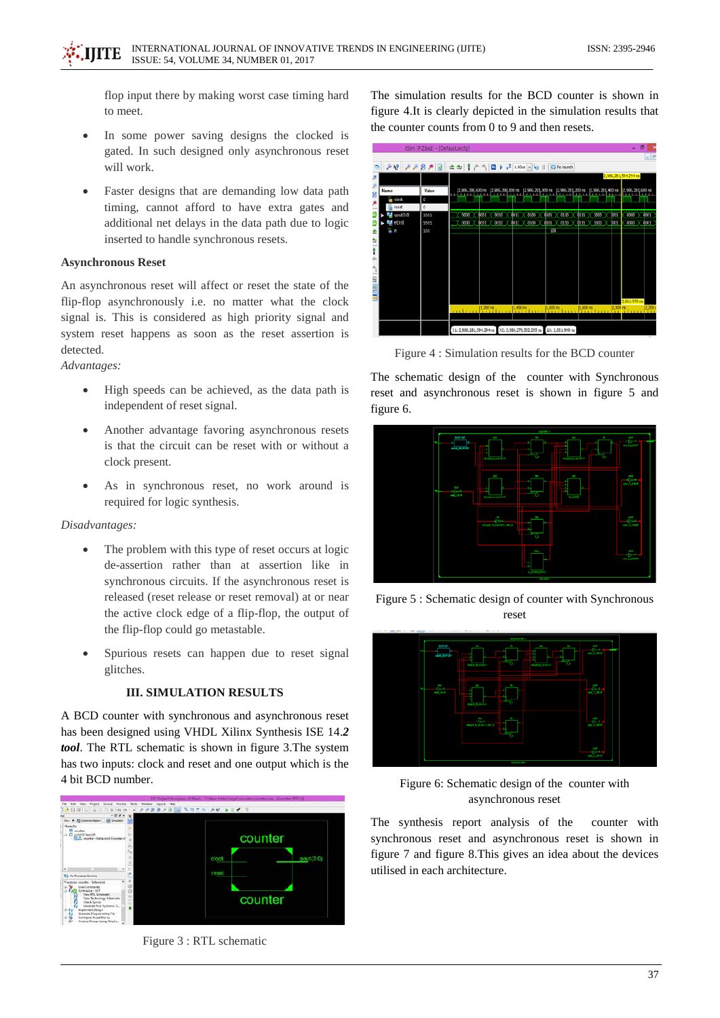flop input there by making worst case timing hard to meet.

- In some power saving designs the clocked is gated. In such designed only asynchronous reset will work.
- Faster designs that are demanding low data path timing, cannot afford to have extra gates and additional net delays in the data path due to logic inserted to handle synchronous resets.

# **Asynchronous Reset**

An asynchronous reset will affect or reset the state of the flip-flop asynchronously i.e. no matter what the clock signal is. This is considered as high priority signal and system reset happens as soon as the reset assertion is detected.

*Advantages:*

- High speeds can be achieved, as the data path is independent of reset signal.
- Another advantage favoring asynchronous resets is that the circuit can be reset with or without a clock present.
- As in synchronous reset, no work around is required for logic synthesis.

#### *Disadvantages:*

- The problem with this type of reset occurs at logic de-assertion rather than at assertion like in synchronous circuits. If the asynchronous reset is released (reset release or reset removal) at or near the active clock edge of a flip-flop, the output of the flip-flop could go metastable.
- Spurious resets can happen due to reset signal glitches.

### **III. SIMULATION RESULTS**

A BCD counter with synchronous and asynchronous reset has been designed using VHDL Xilinx Synthesis ISE 14.*2 tool*. The RTL schematic is shown in figure 3.The system has two inputs: clock and reset and one output which is the 4 bit BCD number.



Figure 3 : RTL schematic

The simulation results for the BCD counter is shown in figure 4.It is clearly depicted in the simulation results that the counter counts from 0 to 9 and then resets.



Figure 4 : Simulation results for the BCD counter

The schematic design of the counter with Synchronous reset and asynchronous reset is shown in figure 5 and figure 6.



Figure 5 : Schematic design of counter with Synchronous reset



Figure 6: Schematic design of the counter with asynchronous reset

The synthesis report analysis of the counter with synchronous reset and asynchronous reset is shown in figure 7 and figure 8.This gives an idea about the devices utilised in each architecture.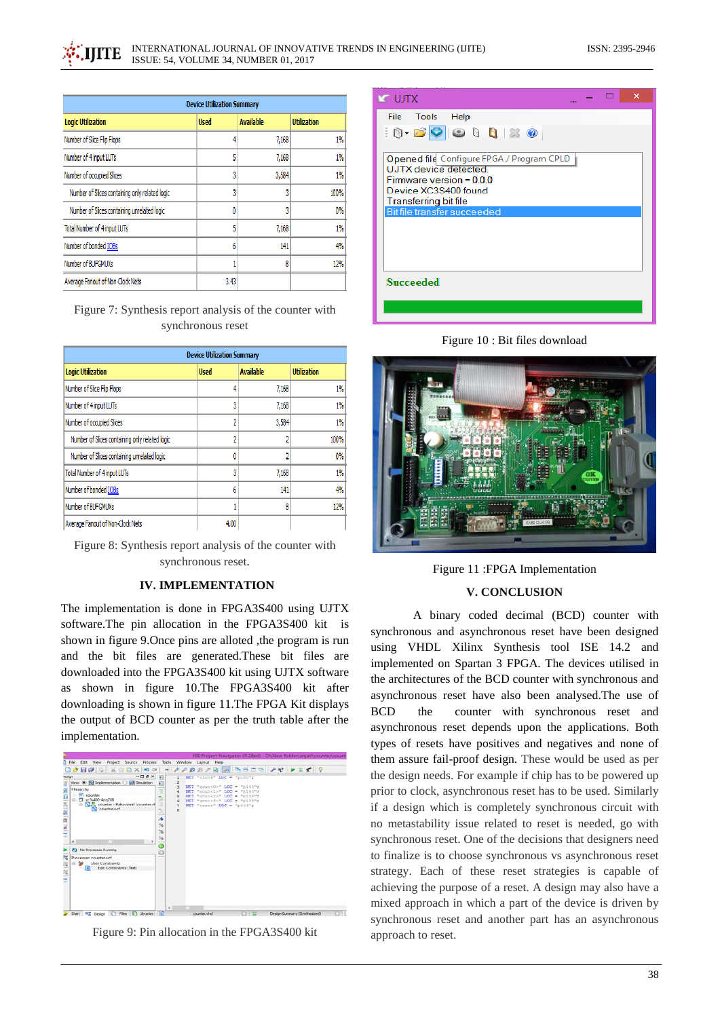| <b>Device Utilization Summary</b>              |             |                  |                    |  |
|------------------------------------------------|-------------|------------------|--------------------|--|
| <b>Logic Utilization</b>                       | <b>Used</b> | <b>Available</b> | <b>Utilization</b> |  |
| Number of Slice Flip Flops                     | 4           | 7,168            | 1%                 |  |
| Number of 4 input LUTs                         | 5           | 7,168            | 1%                 |  |
| Number of occupied Slices                      | 3           | 3,584            | 1%                 |  |
| Number of Slices containing only related logic | 3           | 3                | 100%               |  |
| Number of Slices containing unrelated logic    | 0           | 3                | 0%                 |  |
| Total Number of 4 input LUTs                   | 5           | 7,168            | 1%                 |  |
| Number of bonded IOBs                          | 6           | 141              | 4%                 |  |
| Number of BUFGMUXs                             |             | 8                | 12%                |  |
| Average Fanout of Non-Clock Nets               | 3.43        |                  |                    |  |

Figure 7: Synthesis report analysis of the counter with synchronous reset

| <b>Device Utilization Summary</b>              |             |                  |                    |  |  |
|------------------------------------------------|-------------|------------------|--------------------|--|--|
| <b>Logic Utilization</b>                       | <b>Used</b> | <b>Available</b> | <b>Utilization</b> |  |  |
| Number of Slice Flip Flops                     | 4           | 7,168            | 1%                 |  |  |
| Number of 4 input LUTs                         | 3           | 7,168            | 1%                 |  |  |
| Number of occupied Slices                      | 2           | 3,584            | $1\%$              |  |  |
| Number of Slices containing only related logic | 2           |                  | 100%               |  |  |
| Number of Slices containing unrelated logic    | ٥           |                  | 0%                 |  |  |
| Total Number of 4 input LUTs                   | 3           | 7,168            | $1\%$              |  |  |
| Number of bonded IOBs                          | 6           | 141              | 4%                 |  |  |
| Number of BUFGMUXs                             |             | 8                | 12%                |  |  |
| Average Fanout of Non-Clock Nets               | 4.00        |                  |                    |  |  |

Figure 8: Synthesis report analysis of the counter with synchronous reset.

#### **IV. IMPLEMENTATION**

The implementation is done in FPGA3S400 using UJTX software.The pin allocation in the FPGA3S400 kit is shown in figure 9.Once pins are alloted ,the program is run and the bit files are generated.These bit files are downloaded into the FPGA3S400 kit using UJTX software as shown in figure 10.The FPGA3S400 kit after downloading is shown in figure 11.The FPGA Kit displays the output of BCD counter as per the truth table after the implementation.



Figure 9: Pin allocation in the FPGA3S400 kit

| $\boldsymbol{\times}$<br><b>IX UJTX</b>                                                                                                                                                                                                                                                                                |  |  |  |  |  |  |
|------------------------------------------------------------------------------------------------------------------------------------------------------------------------------------------------------------------------------------------------------------------------------------------------------------------------|--|--|--|--|--|--|
| File Tools Help                                                                                                                                                                                                                                                                                                        |  |  |  |  |  |  |
| $\textcolor{red}{\textcolor{blue}{\mathbf{0}}}\cdot \textcolor{blue}{\mathbf{B}}\textcolor{blue}{\mathbf{O}}\textcolor{blue}{\mathbf{O}}\textcolor{blue}{\mathbf{O}}\textcolor{blue}{\mathbf{O}}\textcolor{blue}{\mathbf{O}}\textcolor{blue}{\mathbf{O}}\textcolor{blue}{\mathbf{O}}\textcolor{blue}{\mathbf{O}}$<br>Ě |  |  |  |  |  |  |
| Opened file Configure FPGA / Program CPLD<br>UJTX device detected.<br>Firmware version = 0.0.0<br>Device XC3S400 found<br><b>Transferring bit file</b>                                                                                                                                                                 |  |  |  |  |  |  |
| Bit file transfer succeeded                                                                                                                                                                                                                                                                                            |  |  |  |  |  |  |
|                                                                                                                                                                                                                                                                                                                        |  |  |  |  |  |  |
| Succeeded                                                                                                                                                                                                                                                                                                              |  |  |  |  |  |  |
|                                                                                                                                                                                                                                                                                                                        |  |  |  |  |  |  |

Figure 10 : Bit files download



Figure 11 :FPGA Implementation

#### **V. CONCLUSION**

 A binary coded decimal (BCD) counter with synchronous and asynchronous reset have been designed using VHDL Xilinx Synthesis tool ISE 14.2 and implemented on Spartan 3 FPGA. The devices utilised in the architectures of the BCD counter with synchronous and asynchronous reset have also been analysed.The use of BCD the counter with synchronous reset and asynchronous reset depends upon the applications. Both types of resets have positives and negatives and none of them assure fail-proof design. These would be used as per the design needs. For example if chip has to be powered up prior to clock, asynchronous reset has to be used. Similarly if a design which is completely synchronous circuit with no metastability issue related to reset is needed, go with synchronous reset. One of the decisions that designers need to finalize is to choose synchronous vs asynchronous reset strategy. Each of these reset strategies is capable of achieving the purpose of a reset. A design may also have a mixed approach in which a part of the device is driven by synchronous reset and another part has an asynchronous approach to reset.